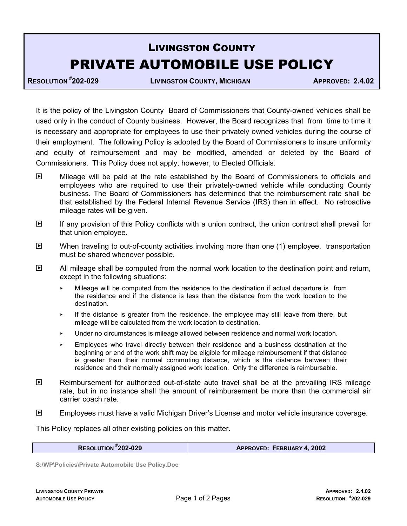## LIVINGSTON COUNTY PRIVATE AUTOMOBILE USE POLICY

**RESOLUTION #**

**202-029 LIVINGSTON COUNTY, MICHIGAN APPROVED: 2.4.02**

It is the policy of the Livingston County Board of Commissioners that County-owned vehicles shall be used only in the conduct of County business. However, the Board recognizes that from time to time it is necessary and appropriate for employees to use their privately owned vehicles during the course of their employment. The following Policy is adopted by the Board of Commissioners to insure uniformity and equity of reimbursement and may be modified, amended or deleted by the Board of Commissioners.This Policy does not apply, however, to Elected Officials.

- Mileage will be paid at the rate established by the Board of Commissioners to officials and employees who are required to use their privately-owned vehicle while conducting County business. The Board of Commissioners has determined that the reimbursement rate shall be that established by the Federal Internal Revenue Service (IRS) then in effect. No retroactive mileage rates will be given.
- $\mathbb{F}$  If any provision of this Policy conflicts with a union contract, the union contract shall prevail for that union employee.
- $\mathbb{F}$  When traveling to out-of-county activities involving more than one (1) employee, transportation must be shared whenever possible.
- $\mathbb{E}$  All mileage shall be computed from the normal work location to the destination point and return, except in the following situations:
	- Mileage will be computed from the residence to the destination if actual departure is from the residence and if the distance is less than the distance from the work location to the destination.
	- $\cdot$  If the distance is greater from the residence, the employee may still leave from there, but mileage will be calculated from the work location to destination.
	- **Under no circumstances is mileage allowed between residence and normal work location.**
	- < Employees who travel directly between their residence and a business destination at the beginning or end of the work shift may be eligible for mileage reimbursement if that distance is greater than their normal commuting distance, which is the distance between their residence and their normally assigned work location. Only the difference is reimbursable.
- $\Box$  Reimbursement for authorized out-of-state auto travel shall be at the prevailing IRS mileage rate, but in no instance shall the amount of reimbursement be more than the commercial air carrier coach rate.
- **E** Employees must have a valid Michigan Driver's License and motor vehicle insurance coverage.

This Policy replaces all other existing policies on this matter.

**RESOLUTION #**

**202-029 APPROVED: FEBRUARY 4, 2002**

**S:\WP\Policies\Private Automobile Use Policy.Doc**